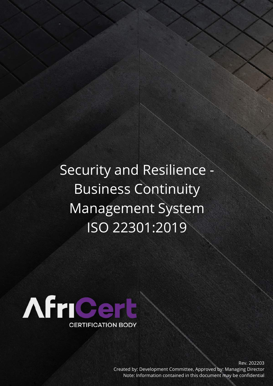Security and Resilience - Business Continuity Management System ISO 22301:2019



Rev. 202203 Created by: Development Committee, Approved by: Managing Director Note: Information contained in this document may be confidential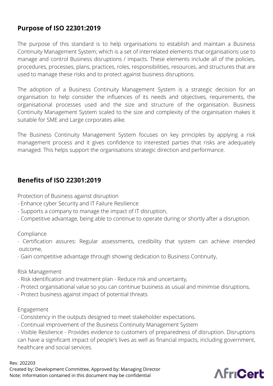## **Purpose of ISO 22301:2019**

The purpose of this standard is to help organisations to establish and maintain a Business Continuity Management System; which is a set of interrelated elements that organisations use to manage and control Business disruptions / impacts. These elements include all of the policies, procedures, processes, plans, practices, roles, responsibilities, resources, and structures that are used to manage these risks and to protect against business disruptions.

The adoption of a Business Continuity Management System is a strategic decision for an organisation to help consider the influences of its needs and objectives, requirements, the organisational processes used and the size and structure of the organisation. Business Continuity Management System scaled to the size and complexity of the organisation makes it suitable for SME and Large corporates alike.

The Business Continuity Management System focuses on key principles by applying a risk management process and it gives confidence to interested parties that risks are adequately managed. This helps support the organisations strategic direction and performance.

## **Benefits of ISO 22301:2019**

Protection of Business against disruption

- Enhance cyber Security and IT Failure Resilience
- Supports a company to manage the impact of IT disruption,
- Competitive advantage, being able to continue to operate during or shortly after a disruption.

Compliance

- Certification assures: Regular assessments, credibility that system can achieve intended outcome,
- Gain competitive advantage through showing dedication to Business Continuity,

Risk Management

- Risk identification and treatment plan Reduce risk and uncertainty,
- Protect organisational value so you can continue business as usual and minimise disruptions,
- Protect business against impact of potential threats

Engagement

- Consistency in the outputs designed to meet stakeholder expectations.
- Continual improvement of the Business Continuity Management System

- Visible Resilience - Provides evidence to customers of preparedness of disruption. Disruptions can have a significant impact of people's lives as well as financial impacts, including government, healthcare and social services.